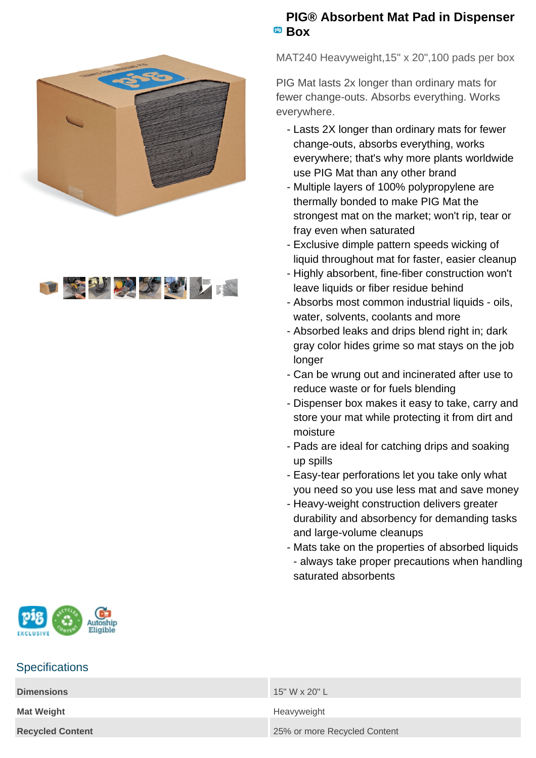



## **PIG® Absorbent Mat Pad in Dispenser BOX**

MAT240 Heavyweight,15" x 20",100 pads per box

PIG Mat lasts 2x longer than ordinary mats for fewer change-outs. Absorbs everything. Works everywhere.

- Lasts 2X longer than ordinary mats for fewer change-outs, absorbs everything, works everywhere; that's why more plants worldwide use PIG Mat than any other brand
- Multiple layers of 100% polypropylene are thermally bonded to make PIG Mat the strongest mat on the market; won't rip, tear or fray even when saturated
- Exclusive dimple pattern speeds wicking of liquid throughout mat for faster, easier cleanup
- Highly absorbent, fine-fiber construction won't leave liquids or fiber residue behind
- Absorbs most common industrial liquids oils, water, solvents, coolants and more
- Absorbed leaks and drips blend right in; dark gray color hides grime so mat stays on the job longer
- Can be wrung out and incinerated after use to reduce waste or for fuels blending
- Dispenser box makes it easy to take, carry and store your mat while protecting it from dirt and moisture
- Pads are ideal for catching drips and soaking up spills
- Easy-tear perforations let you take only what you need so you use less mat and save money
- Heavy-weight construction delivers greater durability and absorbency for demanding tasks and large-volume cleanups
- Mats take on the properties of absorbed liquids - always take proper precautions when handling saturated absorbents



## **Specifications**

| <b>Dimensions</b>       | 15" W x 20" L                |
|-------------------------|------------------------------|
| <b>Mat Weight</b>       | Heavyweight                  |
| <b>Recycled Content</b> | 25% or more Recycled Content |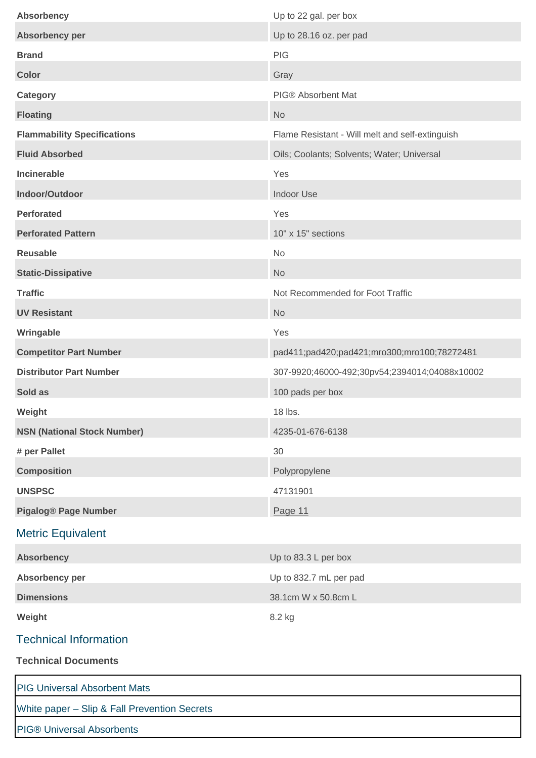| <b>Absorbency</b>                            | Up to 22 gal. per box                           |
|----------------------------------------------|-------------------------------------------------|
| Absorbency per                               | Up to 28.16 oz. per pad                         |
| <b>Brand</b>                                 | <b>PIG</b>                                      |
| <b>Color</b>                                 | Gray                                            |
| <b>Category</b>                              | PIG® Absorbent Mat                              |
| <b>Floating</b>                              | <b>No</b>                                       |
| <b>Flammability Specifications</b>           | Flame Resistant - Will melt and self-extinguish |
| <b>Fluid Absorbed</b>                        | Oils; Coolants; Solvents; Water; Universal      |
| <b>Incinerable</b>                           | Yes                                             |
| Indoor/Outdoor                               | Indoor Use                                      |
| <b>Perforated</b>                            | Yes                                             |
| <b>Perforated Pattern</b>                    | 10" x 15" sections                              |
| <b>Reusable</b>                              | <b>No</b>                                       |
| <b>Static-Dissipative</b>                    | <b>No</b>                                       |
| <b>Traffic</b>                               | Not Recommended for Foot Traffic                |
| <b>UV Resistant</b>                          | <b>No</b>                                       |
| Wringable                                    | Yes                                             |
| <b>Competitor Part Number</b>                | pad411;pad420;pad421;mro300;mro100;78272481     |
| <b>Distributor Part Number</b>               | 307-9920;46000-492;30pv54;2394014;04088x10002   |
| Sold as                                      | 100 pads per box                                |
| Weight                                       | 18 lbs.                                         |
| <b>NSN (National Stock Number)</b>           | 4235-01-676-6138                                |
| # per Pallet                                 | 30                                              |
| <b>Composition</b>                           | Polypropylene                                   |
| <b>UNSPSC</b>                                | 47131901                                        |
| <b>Pigalog® Page Number</b>                  | Page 11                                         |
| <b>Metric Equivalent</b>                     |                                                 |
| <b>Absorbency</b>                            | Up to 83.3 L per box                            |
| Absorbency per                               | Up to 832.7 mL per pad                          |
| <b>Dimensions</b>                            | 38.1cm W x 50.8cm L                             |
| Weight                                       | 8.2 kg                                          |
| <b>Technical Information</b>                 |                                                 |
| <b>Technical Documents</b>                   |                                                 |
| <b>PIG Universal Absorbent Mats</b>          |                                                 |
| White paper - Slip & Fall Prevention Secrets |                                                 |
| <b>PIG® Universal Absorbents</b>             |                                                 |